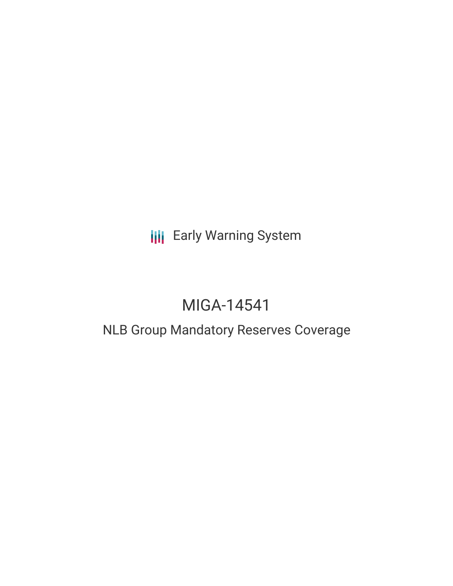**III** Early Warning System

# MIGA-14541

## NLB Group Mandatory Reserves Coverage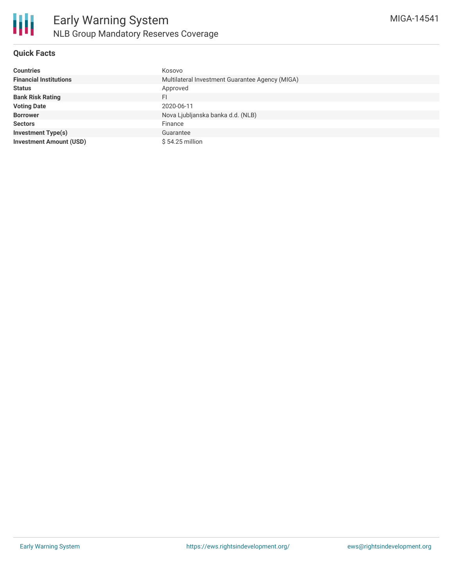

### **Quick Facts**

| <b>Countries</b>               | Kosovo                                          |  |  |  |
|--------------------------------|-------------------------------------------------|--|--|--|
| <b>Financial Institutions</b>  | Multilateral Investment Guarantee Agency (MIGA) |  |  |  |
| <b>Status</b>                  | Approved                                        |  |  |  |
| <b>Bank Risk Rating</b>        | FI                                              |  |  |  |
| <b>Voting Date</b>             | 2020-06-11                                      |  |  |  |
| <b>Borrower</b>                | Nova Ljubljanska banka d.d. (NLB)               |  |  |  |
| <b>Sectors</b>                 | Finance                                         |  |  |  |
| <b>Investment Type(s)</b>      | Guarantee                                       |  |  |  |
| <b>Investment Amount (USD)</b> | $$54.25$ million                                |  |  |  |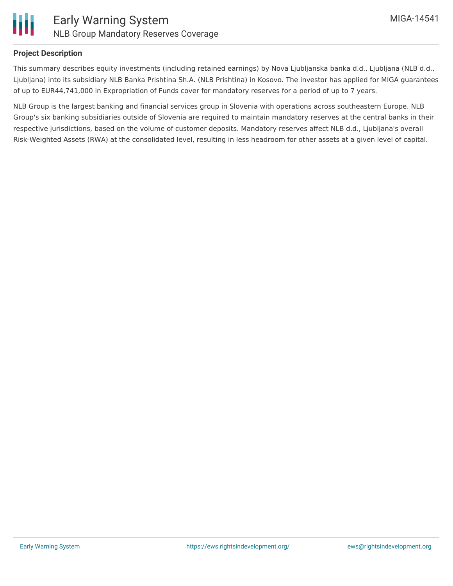

### **Project Description**

This summary describes equity investments (including retained earnings) by Nova Ljubljanska banka d.d., Ljubljana (NLB d.d., Ljubljana) into its subsidiary NLB Banka Prishtina Sh.A. (NLB Prishtina) in Kosovo. The investor has applied for MIGA guarantees of up to EUR44,741,000 in Expropriation of Funds cover for mandatory reserves for a period of up to 7 years.

NLB Group is the largest banking and financial services group in Slovenia with operations across southeastern Europe. NLB Group's six banking subsidiaries outside of Slovenia are required to maintain mandatory reserves at the central banks in their respective jurisdictions, based on the volume of customer deposits. Mandatory reserves affect NLB d.d., Ljubljana's overall Risk-Weighted Assets (RWA) at the consolidated level, resulting in less headroom for other assets at a given level of capital.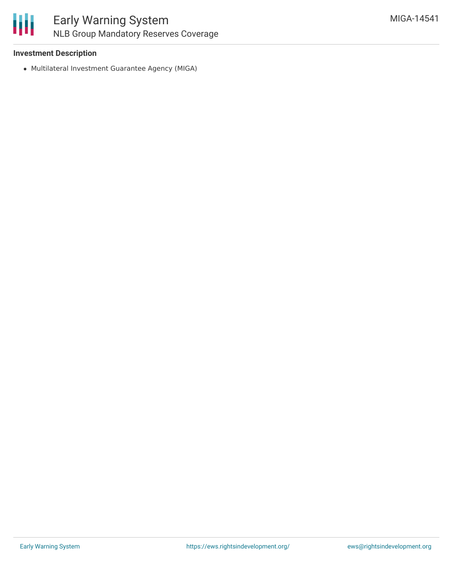

### Early Warning System NLB Group Mandatory Reserves Coverage

### **Investment Description**

Multilateral Investment Guarantee Agency (MIGA)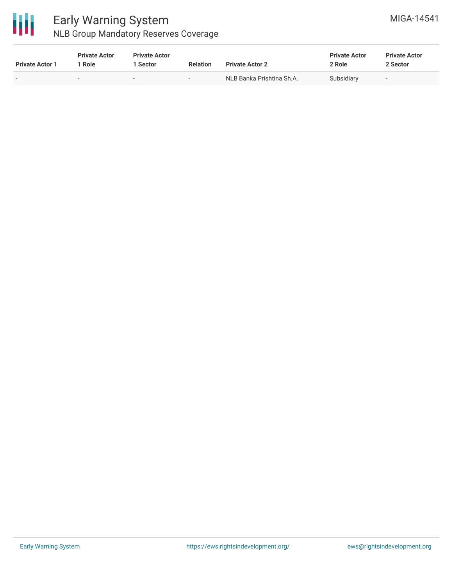

### Early Warning System NLB Group Mandatory Reserves Coverage

| <b>Private Actor 1</b> | <b>Private Actor</b><br>  Role | <b>Private Actor</b><br>1 Sector | <b>Relation</b> | <b>Private Actor 2</b>    | <b>Private Actor</b><br>2 Role | <b>Private Actor</b><br>2 Sector |
|------------------------|--------------------------------|----------------------------------|-----------------|---------------------------|--------------------------------|----------------------------------|
| $\sim$                 |                                |                                  | $\sim$          | NLB Banka Prishtina Sh.A. | Subsidiary                     | $\overline{\phantom{a}}$         |